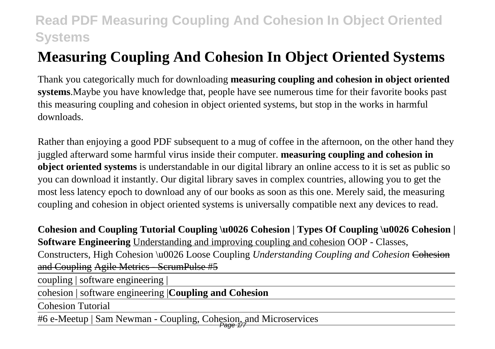# **Measuring Coupling And Cohesion In Object Oriented Systems**

Thank you categorically much for downloading **measuring coupling and cohesion in object oriented systems**.Maybe you have knowledge that, people have see numerous time for their favorite books past this measuring coupling and cohesion in object oriented systems, but stop in the works in harmful downloads.

Rather than enjoying a good PDF subsequent to a mug of coffee in the afternoon, on the other hand they juggled afterward some harmful virus inside their computer. **measuring coupling and cohesion in object oriented systems** is understandable in our digital library an online access to it is set as public so you can download it instantly. Our digital library saves in complex countries, allowing you to get the most less latency epoch to download any of our books as soon as this one. Merely said, the measuring coupling and cohesion in object oriented systems is universally compatible next any devices to read.

**Cohesion and Coupling Tutorial Coupling \u0026 Cohesion | Types Of Coupling \u0026 Cohesion | Software Engineering** Understanding and improving coupling and cohesion OOP - Classes, Constructers, High Cohesion \u0026 Loose Coupling *Understanding Coupling and Cohesion* Cohesion and Coupling Agile Metrics - ScrumPulse #5

coupling | software engineering |

cohesion | software engineering |**Coupling and Cohesion**

Cohesion Tutorial

#6 e-Meetup | Sam Newman - Coupling, Cohesion, and Microservices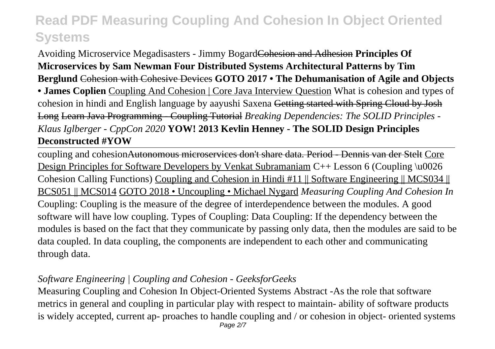Avoiding Microservice Megadisasters - Jimmy BogardCohesion and Adhesion **Principles Of Microservices by Sam Newman Four Distributed Systems Architectural Patterns by Tim Berglund** Cohesion with Cohesive Devices **GOTO 2017 • The Dehumanisation of Agile and Objects • James Coplien** Coupling And Cohesion | Core Java Interview Question What is cohesion and types of cohesion in hindi and English language by aayushi Saxena Getting started with Spring Cloud by Josh Long Learn Java Programming - Coupling Tutorial *Breaking Dependencies: The SOLID Principles - Klaus Iglberger - CppCon 2020* **YOW! 2013 Kevlin Henney - The SOLID Design Principles Deconstructed #YOW**

coupling and cohesionAutonomous microservices don't share data. Period - Dennis van der Stelt Core Design Principles for Software Developers by Venkat Subramaniam C++ Lesson 6 (Coupling \u0026) Cohesion Calling Functions) Coupling and Cohesion in Hindi #11 || Software Engineering || MCS034 || BCS051 || MCS014 GOTO 2018 • Uncoupling • Michael Nygard *Measuring Coupling And Cohesion In* Coupling: Coupling is the measure of the degree of interdependence between the modules. A good software will have low coupling. Types of Coupling: Data Coupling: If the dependency between the modules is based on the fact that they communicate by passing only data, then the modules are said to be data coupled. In data coupling, the components are independent to each other and communicating through data.

## *Software Engineering | Coupling and Cohesion - GeeksforGeeks*

Measuring Coupling and Cohesion In Object-Oriented Systems Abstract -As the role that software metrics in general and coupling in particular play with respect to maintain- ability of software products is widely accepted, current ap- proaches to handle coupling and / or cohesion in object- oriented systems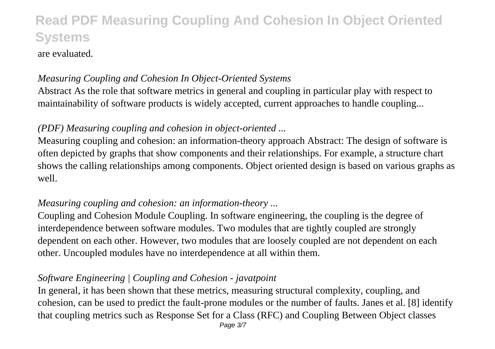## are evaluated.

## *Measuring Coupling and Cohesion In Object-Oriented Systems*

Abstract As the role that software metrics in general and coupling in particular play with respect to maintainability of software products is widely accepted, current approaches to handle coupling...

## *(PDF) Measuring coupling and cohesion in object-oriented ...*

Measuring coupling and cohesion: an information-theory approach Abstract: The design of software is often depicted by graphs that show components and their relationships. For example, a structure chart shows the calling relationships among components. Object oriented design is based on various graphs as well.

## *Measuring coupling and cohesion: an information-theory ...*

Coupling and Cohesion Module Coupling. In software engineering, the coupling is the degree of interdependence between software modules. Two modules that are tightly coupled are strongly dependent on each other. However, two modules that are loosely coupled are not dependent on each other. Uncoupled modules have no interdependence at all within them.

## *Software Engineering | Coupling and Cohesion - javatpoint*

In general, it has been shown that these metrics, measuring structural complexity, coupling, and cohesion, can be used to predict the fault-prone modules or the number of faults. Janes et al. [8] identify that coupling metrics such as Response Set for a Class (RFC) and Coupling Between Object classes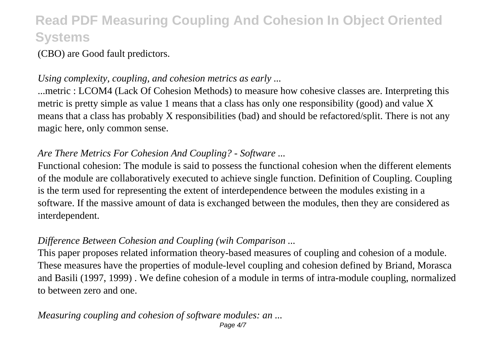(CBO) are Good fault predictors.

### *Using complexity, coupling, and cohesion metrics as early ...*

...metric : LCOM4 (Lack Of Cohesion Methods) to measure how cohesive classes are. Interpreting this metric is pretty simple as value 1 means that a class has only one responsibility (good) and value X means that a class has probably X responsibilities (bad) and should be refactored/split. There is not any magic here, only common sense.

## *Are There Metrics For Cohesion And Coupling? - Software ...*

Functional cohesion: The module is said to possess the functional cohesion when the different elements of the module are collaboratively executed to achieve single function. Definition of Coupling. Coupling is the term used for representing the extent of interdependence between the modules existing in a software. If the massive amount of data is exchanged between the modules, then they are considered as interdependent.

## *Difference Between Cohesion and Coupling (wih Comparison ...*

This paper proposes related information theory-based measures of coupling and cohesion of a module. These measures have the properties of module-level coupling and cohesion defined by Briand, Morasca and Basili (1997, 1999) . We define cohesion of a module in terms of intra-module coupling, normalized to between zero and one.

#### *Measuring coupling and cohesion of software modules: an ...* Page 4/7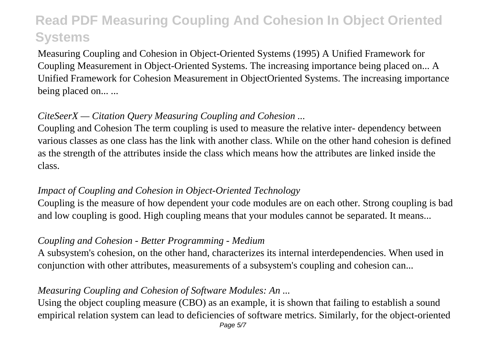Measuring Coupling and Cohesion in Object-Oriented Systems (1995) A Unified Framework for Coupling Measurement in Object-Oriented Systems. The increasing importance being placed on... A Unified Framework for Cohesion Measurement in ObjectOriented Systems. The increasing importance being placed on... ...

## *CiteSeerX — Citation Query Measuring Coupling and Cohesion ...*

Coupling and Cohesion The term coupling is used to measure the relative inter- dependency between various classes as one class has the link with another class. While on the other hand cohesion is defined as the strength of the attributes inside the class which means how the attributes are linked inside the class.

### *Impact of Coupling and Cohesion in Object-Oriented Technology*

Coupling is the measure of how dependent your code modules are on each other. Strong coupling is bad and low coupling is good. High coupling means that your modules cannot be separated. It means...

### *Coupling and Cohesion - Better Programming - Medium*

A subsystem's cohesion, on the other hand, characterizes its internal interdependencies. When used in conjunction with other attributes, measurements of a subsystem's coupling and cohesion can...

### *Measuring Coupling and Cohesion of Software Modules: An ...*

Using the object coupling measure (CBO) as an example, it is shown that failing to establish a sound empirical relation system can lead to deficiencies of software metrics. Similarly, for the object-oriented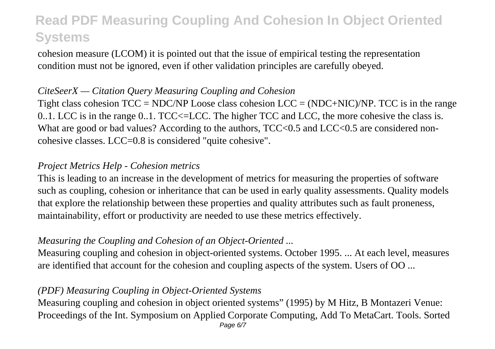cohesion measure (LCOM) it is pointed out that the issue of empirical testing the representation condition must not be ignored, even if other validation principles are carefully obeyed.

### *CiteSeerX — Citation Query Measuring Coupling and Cohesion*

Tight class cohesion  $TCC = NDC/NP$  Loose class cohesion  $LCC = (NDC+NIC)/NP$ . TCC is in the range 0..1. LCC is in the range 0..1. TCC<=LCC. The higher TCC and LCC, the more cohesive the class is. What are good or bad values? According to the authors,  $TCC<0.5$  and  $LCC<0.5$  are considered noncohesive classes. LCC=0.8 is considered "quite cohesive".

### *Project Metrics Help - Cohesion metrics*

This is leading to an increase in the development of metrics for measuring the properties of software such as coupling, cohesion or inheritance that can be used in early quality assessments. Quality models that explore the relationship between these properties and quality attributes such as fault proneness, maintainability, effort or productivity are needed to use these metrics effectively.

## *Measuring the Coupling and Cohesion of an Object-Oriented ...*

Measuring coupling and cohesion in object-oriented systems. October 1995. ... At each level, measures are identified that account for the cohesion and coupling aspects of the system. Users of OO ...

## *(PDF) Measuring Coupling in Object-Oriented Systems*

Measuring coupling and cohesion in object oriented systems" (1995) by M Hitz, B Montazeri Venue: Proceedings of the Int. Symposium on Applied Corporate Computing, Add To MetaCart. Tools. Sorted Page 6/7